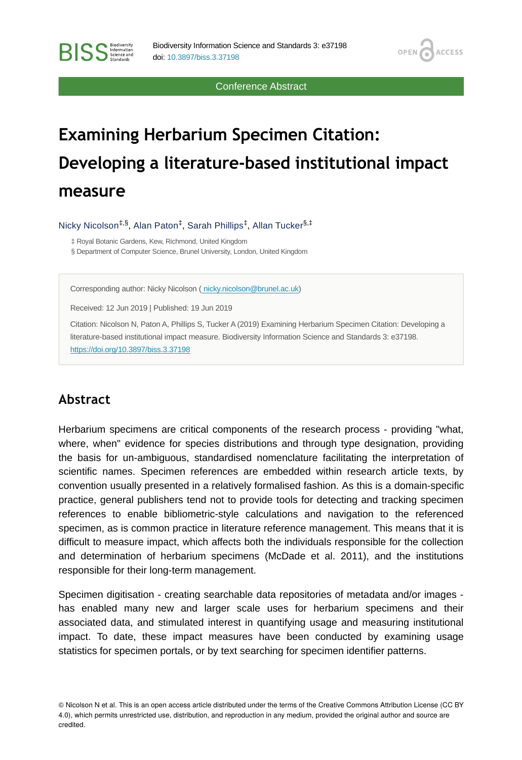Conference Abstract

OPEN<sub>6</sub>

**ACCESS** 

# **Examining Herbarium Specimen Citation: Developing a literature-based institutional impact measure**

Nicky Nicolson<sup>‡,§</sup>, Alan Paton<sup>‡</sup>, Sarah Phillips<sup>‡</sup>, Allan Tucker<sup>§,‡</sup>

‡ Royal Botanic Gardens, Kew, Richmond, United Kingdom

§ Department of Computer Science, Brunel University, London, United Kingdom

Corresponding author: Nicky Nicolson [\( nicky.nicolson@brunel.ac.uk](mailto:%20nicky.nicolson@brunel.ac.uk))

Received: 12 Jun 2019 | Published: 19 Jun 2019

Citation: Nicolson N, Paton A, Phillips S, Tucker A (2019) Examining Herbarium Specimen Citation: Developing a literature-based institutional impact measure. Biodiversity Information Science and Standards 3: e37198. <https://doi.org/10.3897/biss.3.37198>

#### **Abstract**

**BISS** Steince and

Herbarium specimens are critical components of the research process - providing "what, where, when" evidence for species distributions and through type designation, providing the basis for un-ambiguous, standardised nomenclature facilitating the interpretation of scientific names. Specimen references are embedded within research article texts, by convention usually presented in a relatively formalised fashion. As this is a domain-specific practice, general publishers tend not to provide tools for detecting and tracking specimen references to enable bibliometric-style calculations and navigation to the referenced specimen, as is common practice in literature reference management. This means that it is difficult to measure impact, which affects both the individuals responsible for the collection and determination of herbarium specimens (McDade et al. 2011), and the institutions responsible for their long-term management.

Specimen digitisation - creating searchable data repositories of metadata and/or images has enabled many new and larger scale uses for herbarium specimens and their associated data, and stimulated interest in quantifying usage and measuring institutional impact. To date, these impact measures have been conducted by examining usage statistics for specimen portals, or by text searching for specimen identifier patterns.

<sup>©</sup> Nicolson N et al. This is an open access article distributed under the terms of the Creative Commons Attribution License (CC BY 4.0), which permits unrestricted use, distribution, and reproduction in any medium, provided the original author and source are credited.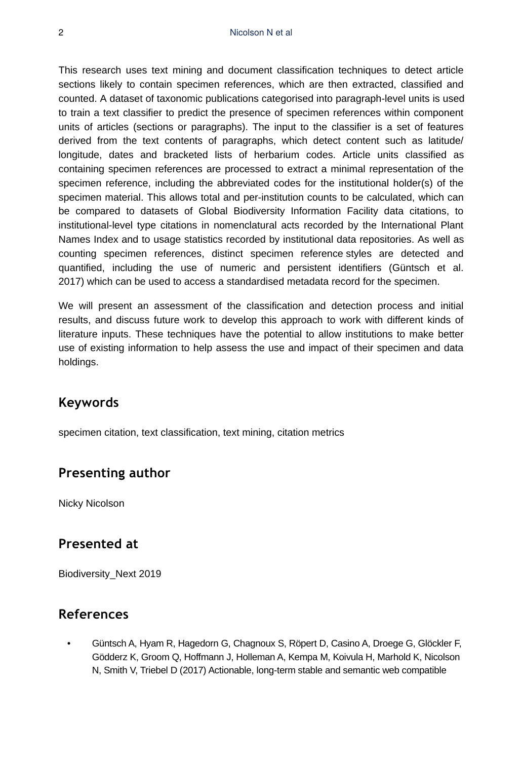This research uses text mining and document classification techniques to detect article sections likely to contain specimen references, which are then extracted, classified and counted. A dataset of taxonomic publications categorised into paragraph-level units is used to train a text classifier to predict the presence of specimen references within component units of articles (sections or paragraphs). The input to the classifier is a set of features derived from the text contents of paragraphs, which detect content such as latitude/ longitude, dates and bracketed lists of herbarium codes. Article units classified as containing specimen references are processed to extract a minimal representation of the specimen reference, including the abbreviated codes for the institutional holder(s) of the specimen material. This allows total and per-institution counts to be calculated, which can be compared to datasets of Global Biodiversity Information Facility data citations, to institutional-level type citations in nomenclatural acts recorded by the International Plant Names Index and to usage statistics recorded by institutional data repositories. As well as counting specimen references, distinct specimen reference styles are detected and quantified, including the use of numeric and persistent identifiers (Güntsch et al. 2017) which can be used to access a standardised metadata record for the specimen.

We will present an assessment of the classification and detection process and initial results, and discuss future work to develop this approach to work with different kinds of literature inputs. These techniques have the potential to allow institutions to make better use of existing information to help assess the use and impact of their specimen and data holdings.

#### **Keywords**

specimen citation, text classification, text mining, citation metrics

## **Presenting author**

Nicky Nicolson

## **Presented at**

Biodiversity\_Next 2019

## **References**

• Güntsch A, Hyam R, Hagedorn G, Chagnoux S, Röpert D, Casino A, Droege G, Glöckler F, Gödderz K, Groom Q, Hoffmann J, Holleman A, Kempa M, Koivula H, Marhold K, Nicolson N, Smith V, Triebel D (2017) Actionable, long-term stable and semantic web compatible